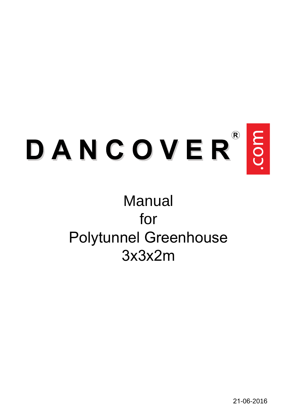

# **Manual** for Polytunnel Greenhouse 3x3x2m

21-06-2016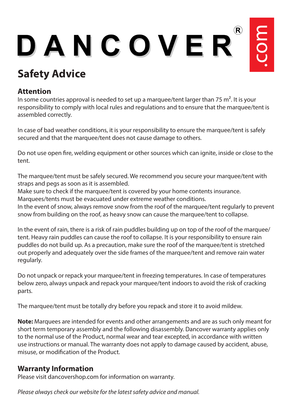# DANCOVER

# **Safety Advice**

#### **Attention**

In some countries approval is needed to set up a marquee/tent larger than 75  $m^2$ . It is your responsibility to comply with local rules and regulations and to ensure that the marquee/tent is assembled correctly.

In case of bad weather conditions, it is your responsibility to ensure the marquee/tent is safely secured and that the marquee/tent does not cause damage to others.

Do not use open fire, welding equipment or other sources which can ignite, inside or close to the tent.

The marquee/tent must be safely secured. We recommend you secure your marquee/tent with straps and pegs as soon as it is assembled.

Make sure to check if the marquee/tent is covered by your home contents insurance.

Marquees/tents must be evacuated under extreme weather conditions.

In the event of snow, always remove snow from the roof of the marquee/tent regularly to prevent snow from building on the roof, as heavy snow can cause the marquee/tent to collapse.

In the event of rain, there is a risk of rain puddles building up on top of the roof of the marquee/ tent. Heavy rain puddles can cause the roof to collapse. It is your responsibility to ensure rain puddles do not build up. As a precaution, make sure the roof of the marquee/tent is stretched out properly and adequately over the side frames of the marquee/tent and remove rain water regularly.

Do not unpack or repack your marquee/tent in freezing temperatures. In case of temperatures below zero, always unpack and repack your marquee/tent indoors to avoid the risk of cracking parts.

The marquee/tent must be totally dry before you repack and store it to avoid mildew.

**Note:** Marquees are intended for events and other arrangements and are as such only meant for short term temporary assembly and the following disassembly. Dancover warranty applies only to the normal use of the Product, normal wear and tear excepted, in accordance with written use instructions or manual. The warranty does not apply to damage caused by accident, abuse, misuse, or modification of the Product.

#### **Warranty Information**

Please visit dancovershop.com for information on warranty.

*Please always check our website for the latest safety advice and manual.*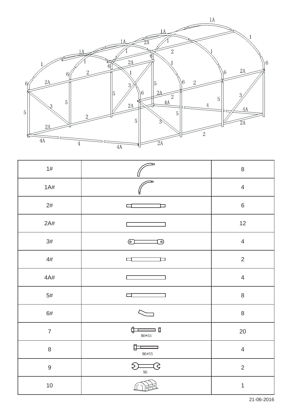

| 1#               | Þ                                    | $\,8\,$        |
|------------------|--------------------------------------|----------------|
| 1A#              | ь                                    | $\overline{4}$ |
| $2\#$            | ⊐                                    | $\,6\,$        |
| 2A#              |                                      | $12$           |
| $3\#$            | $\circ$<br><u>ා</u>                  | $\overline{4}$ |
| $4\#$            | $\Box$<br>□                          | $\overline{2}$ |
| 4A#              |                                      | $\overline{4}$ |
| $5\#$            | ⊏                                    | $\, 8$         |
| $6\#$            |                                      | $\,8\,$        |
| $\overline{7}$   | $\leftarrow$<br>⊐ ឲ<br>${\tt M6*55}$ | 20             |
| $\,8\,$          | $\Box$<br>M6*55                      | $\overline{4}$ |
| $\boldsymbol{9}$ | $\Longleftarrows$<br>G<br>$$\sf M6$$ | $\overline{2}$ |
| $10$             |                                      | $\mathbf{1}$   |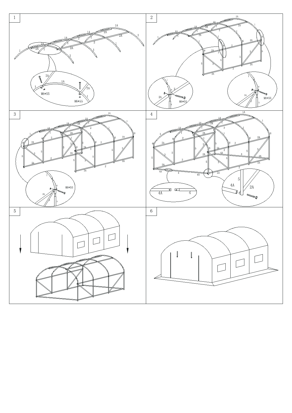